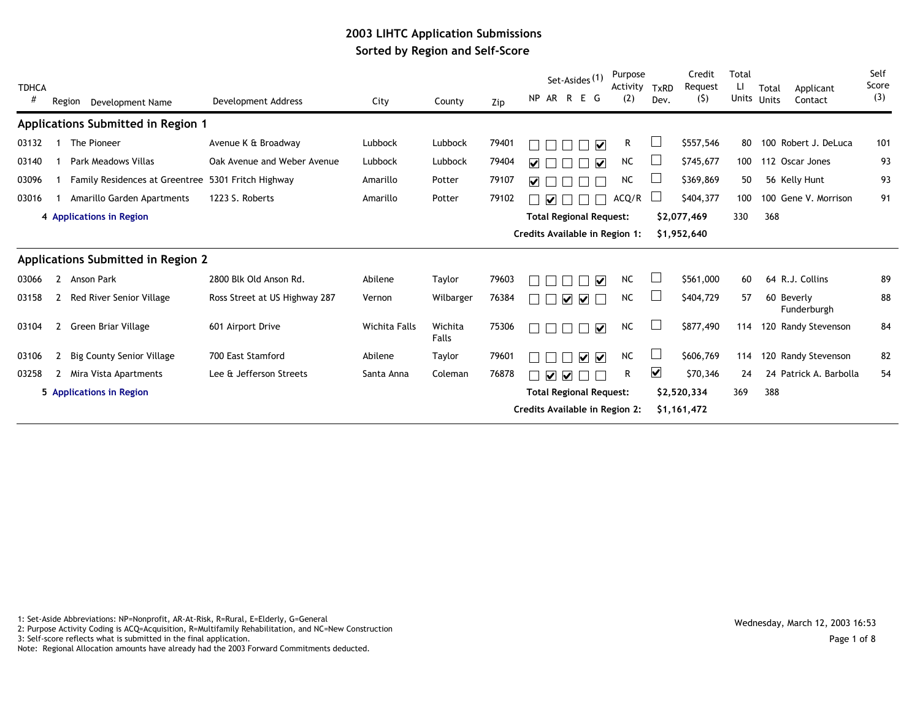## **2003 LIHTC Application Submissions Sorted by Region and Self-Score**

| <b>TDHCA</b><br># | Region       | Development Name                      | Development Address           | City          | County           | Zip   | Set-Asides <sup>(1)</sup><br>NP AR R E G           | Purpose<br>Activity<br>(2) | TxRD<br>Dev.            | Credit<br>Request<br>(5) | Total<br>H<br>Units | Total<br>Applicant<br>Units<br>Contact | Self<br>Score<br>(3) |
|-------------------|--------------|---------------------------------------|-------------------------------|---------------|------------------|-------|----------------------------------------------------|----------------------------|-------------------------|--------------------------|---------------------|----------------------------------------|----------------------|
|                   |              | Applications Submitted in Region 1    |                               |               |                  |       |                                                    |                            |                         |                          |                     |                                        |                      |
| 03132             |              | The Pioneer                           | Avenue K & Broadway           | Lubbock       | Lubbock          | 79401 | ⊽                                                  | R.                         |                         | \$557,546                | 80                  | 100 Robert J. DeLuca                   | 101                  |
| 03140             |              | Park Meadows Villas                   | Oak Avenue and Weber Avenue   | Lubbock       | Lubbock          | 79404 | $\blacktriangledown$<br>M                          | <b>NC</b>                  |                         | \$745,677                | 100                 | 112 Oscar Jones                        | 93                   |
| 03096             |              | <b>Family Residences at Greentree</b> | 5301 Fritch Highway           | Amarillo      | Potter           | 79107 | M                                                  | <b>NC</b>                  |                         | \$369,869                | 50                  | 56 Kelly Hunt                          | 93                   |
| 03016             |              | Amarillo Garden Apartments            | 1223 S. Roberts               | Amarillo      | Potter           | 79102 | $\overline{\mathbf{v}}$                            | ACQ/R                      |                         | \$404,377                | 100                 | 100 Gene V. Morrison                   | 91                   |
|                   |              | 4 Applications in Region              |                               |               |                  |       | <b>Total Regional Request:</b>                     |                            |                         | \$2,077,469              | 330                 | 368                                    |                      |
|                   |              |                                       |                               |               |                  |       | Credits Available in Region 1:                     |                            |                         | \$1,952,640              |                     |                                        |                      |
|                   |              | Applications Submitted in Region 2    |                               |               |                  |       |                                                    |                            |                         |                          |                     |                                        |                      |
| 03066             | $\mathbf{2}$ | Anson Park                            | 2800 Blk Old Anson Rd.        | Abilene       | Taylor           | 79603 | ☑                                                  | <b>NC</b>                  |                         | \$561,000                | 60                  | 64 R.J. Collins                        | 89                   |
| 03158             | 2            | Red River Senior Village              | Ross Street at US Highway 287 | Vernon        | Wilbarger        | 76384 | ⊽<br>⊽                                             | <b>NC</b>                  |                         | \$404,729                | 57                  | 60 Beverly<br>Funderburgh              | 88                   |
| 03104             | $\mathbf{2}$ | Green Briar Village                   | 601 Airport Drive             | Wichita Falls | Wichita<br>Falls | 75306 | ⊽                                                  | <b>NC</b>                  |                         | \$877,490                | 114                 | 120 Randy Stevenson                    | 84                   |
| 03106             | 2            | <b>Big County Senior Village</b>      | 700 East Stamford             | Abilene       | Taylor           | 79601 | $\overline{\mathbf{v}}$<br>$\overline{\mathbf{v}}$ | <b>NC</b>                  |                         | \$606,769                | 114                 | 120 Randy Stevenson                    | 82                   |
| 03258             | $\mathbf{2}$ | Mira Vista Apartments                 | Lee & Jefferson Streets       | Santa Anna    | Coleman          | 76878 | $\overline{\mathbf{v}}$<br>V                       | R                          | $\overline{\mathbf{v}}$ | \$70,346                 | 24                  | 24 Patrick A. Barbolla                 | 54                   |
|                   |              | 5 Applications in Region              |                               |               |                  |       | <b>Total Regional Request:</b>                     |                            |                         | \$2,520,334              | 369                 | 388                                    |                      |
|                   |              |                                       |                               |               |                  |       | Credits Available in Region 2:                     |                            |                         | \$1,161,472              |                     |                                        |                      |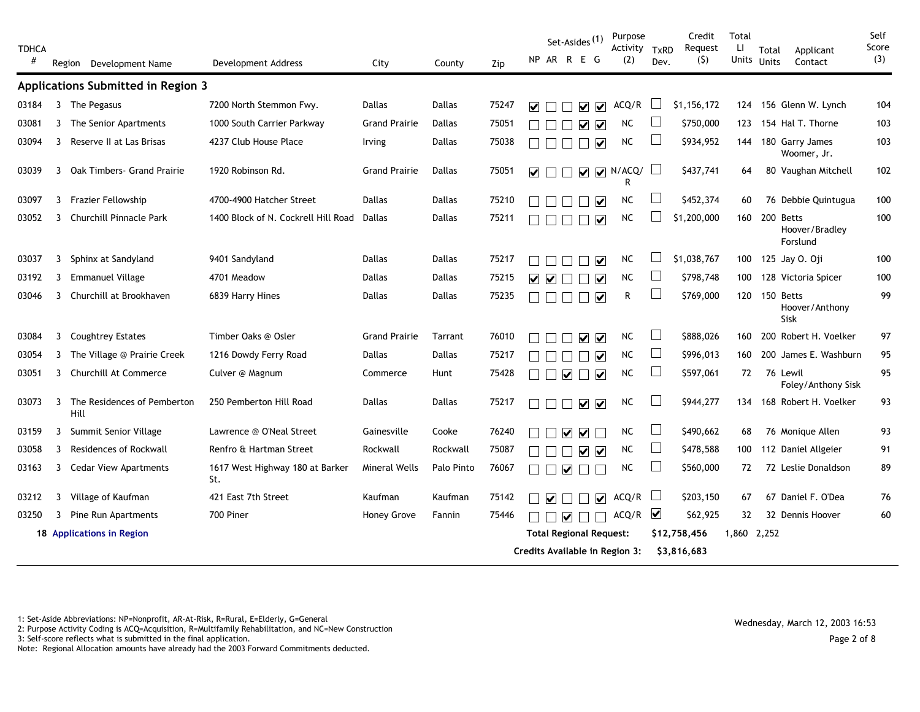| <b>TDHCA</b><br># |   | Region Development Name             | Development Address                    | City                 | County        | Zip   | Set-Asides <sup>(1)</sup><br>NP AR R E G             | Purpose<br>Activity<br>(2) | <b>TxRD</b><br>Dev. | Credit<br>Request<br>(5) | Total<br>Ц<br>Units | Total<br><b>Units</b> | Applicant<br>Contact           | Self<br>Score<br>(3) |
|-------------------|---|-------------------------------------|----------------------------------------|----------------------|---------------|-------|------------------------------------------------------|----------------------------|---------------------|--------------------------|---------------------|-----------------------|--------------------------------|----------------------|
|                   |   | Applications Submitted in Region 3  |                                        |                      |               |       |                                                      |                            |                     |                          |                     |                       |                                |                      |
| 03184             | 3 | The Pegasus                         | 7200 North Stemmon Fwy.                | Dallas               | Dallas        | 75247 | ⊽<br>☑<br>M                                          | ACQ/R                      |                     | \$1,156,172              | 124                 |                       | 156 Glenn W. Lynch             | 104                  |
| 03081             | 3 | The Senior Apartments               | 1000 South Carrier Parkway             | <b>Grand Prairie</b> | <b>Dallas</b> | 75051 | $\overline{\mathbf{v}}$<br>M                         | <b>NC</b>                  |                     | \$750,000                | 123                 |                       | 154 Hal T. Thorne              | 103                  |
| 03094             | 3 | Reserve II at Las Brisas            | 4237 Club House Place                  | <b>Irving</b>        | Dallas        | 75038 | $\overline{\mathbf{v}}$                              | <b>NC</b>                  | ப                   | \$934,952                | 144                 |                       | 180 Garry James<br>Woomer, Jr. | 103                  |
| 03039             | 3 | Oak Timbers - Grand Prairie         | 1920 Robinson Rd.                      | <b>Grand Prairie</b> | <b>Dallas</b> | 75051 | $\blacktriangledown$<br>$\overline{\mathbf{v}}$      | $\nabla$ N/ACQ/<br>R       |                     | \$437,741                | 64                  |                       | 80 Vaughan Mitchell            | 102                  |
| 03097             | 3 | Frazier Fellowship                  | 4700-4900 Hatcher Street               | Dallas               | Dallas        | 75210 | ☑                                                    | NC.                        | ப                   | \$452,374                | 60                  |                       | 76 Debbie Quintugua            | 100                  |
| 03052             | 3 | <b>Churchill Pinnacle Park</b>      | 1400 Block of N. Cockrell Hill Road    | Dallas               | Dallas        | 75211 | ▽                                                    | NC                         |                     | \$1,200,000              |                     | 160 200 Betts         | Hoover/Bradley<br>Forslund     | 100                  |
| 03037             | 3 | Sphinx at Sandyland                 | 9401 Sandyland                         | <b>Dallas</b>        | <b>Dallas</b> | 75217 | $\blacktriangledown$                                 | NC                         |                     | \$1,038,767              | 100                 |                       | 125 Jay 0. Oji                 | 100                  |
| 03192             | 3 | <b>Emmanuel Village</b>             | 4701 Meadow                            | <b>Dallas</b>        | <b>Dallas</b> | 75215 | $\overline{\mathbf{v}}$<br>$\blacktriangledown$<br>M | <b>NC</b>                  | ப                   | \$798,748                | 100                 |                       | 128 Victoria Spicer            | 100                  |
| 03046             | 3 | Churchill at Brookhaven             | 6839 Harry Hines                       | <b>Dallas</b>        | Dallas        | 75235 | $\overline{\mathbf{v}}$                              | R                          |                     | \$769,000                |                     | 120 150 Betts         | Hoover/Anthony<br>Sisk         | 99                   |
| 03084             | 3 | <b>Coughtrey Estates</b>            | Timber Oaks @ Osler                    | <b>Grand Prairie</b> | Tarrant       | 76010 | $\overline{\mathbf{v}}$<br>☑                         | <b>NC</b>                  | ப                   | \$888,026                | 160                 |                       | 200 Robert H. Voelker          | 97                   |
| 03054             | 3 | The Village @ Prairie Creek         | 1216 Dowdy Ferry Road                  | <b>Dallas</b>        | Dallas        | 75217 | ☑                                                    | <b>NC</b>                  | ⊔                   | \$996,013                | 160                 |                       | 200 James E. Washburn          | 95                   |
| 03051             | 3 | Churchill At Commerce               | Culver @ Magnum                        | Commerce             | Hunt          | 75428 | $\overline{\mathbf{v}}$<br>$\overline{\mathbf{v}}$   | <b>NC</b>                  | ⊔                   | \$597,061                | 72                  |                       | 76 Lewil<br>Foley/Anthony Sisk | 95                   |
| 03073             | 3 | The Residences of Pemberton<br>Hill | 250 Pemberton Hill Road                | <b>Dallas</b>        | Dallas        | 75217 | $\overline{\mathbf{v}}$<br>$\blacktriangledown$      | <b>NC</b>                  |                     | \$944,277                | 134                 |                       | 168 Robert H. Voelker          | 93                   |
| 03159             | 3 | Summit Senior Village               | Lawrence @ O'Neal Street               | Gainesville          | Cooke         | 76240 | ☑                                                    | <b>NC</b>                  | ⊔                   | \$490,662                | 68                  |                       | 76 Monique Allen               | 93                   |
| 03058             | 3 | <b>Residences of Rockwall</b>       | Renfro & Hartman Street                | Rockwall             | Rockwall      | 75087 | $\blacktriangledown$<br>$\blacktriangledown$         | <b>NC</b>                  | Ш                   | \$478,588                | 100                 |                       | 112 Daniel Allgeier            | 91                   |
| 03163             | 3 | <b>Cedar View Apartments</b>        | 1617 West Highway 180 at Barker<br>St. | Mineral Wells        | Palo Pinto    | 76067 | $\blacktriangledown$                                 | <b>NC</b>                  | $\mathbf{L}$        | \$560,000                | 72                  |                       | 72 Leslie Donaldson            | 89                   |
| 03212             | 3 | Village of Kaufman                  | 421 East 7th Street                    | Kaufman              | Kaufman       | 75142 | $\blacktriangledown$<br>$\overline{\mathbf{v}}$      | ACQ/R                      |                     | \$203,150                | 67                  |                       | 67 Daniel F. O'Dea             | 76                   |
| 03250             | 3 | Pine Run Apartments                 | 700 Piner                              | Honey Grove          | Fannin        | 75446 | $\overline{\mathbf{v}}$                              | $ACQ/R$ $\sqrt{ }$         |                     | \$62,925                 | 32                  |                       | 32 Dennis Hoover               | 60                   |
|                   |   | 18 Applications in Region           |                                        |                      |               |       | <b>Total Regional Request:</b>                       |                            |                     | \$12,758,456             | 1,860 2,252         |                       |                                |                      |
|                   |   |                                     |                                        |                      |               |       | Credits Available in Region 3:                       |                            |                     | \$3,816,683              |                     |                       |                                |                      |

1: Set-Aside Abbreviations: NP=Nonprofit, AR-At-Risk, R=Rural, E=Elderly, G=General

2: Det-Aside Abbieviations: NF-Nonprofit, AN-At-Nisk, N-Rufat, L-Liderty, O-Oenerat<br>2: Purpose Activity Coding is ACQ=Acquisition, R=Multifamily Rehabilitation, and NC=New Construction Wednesday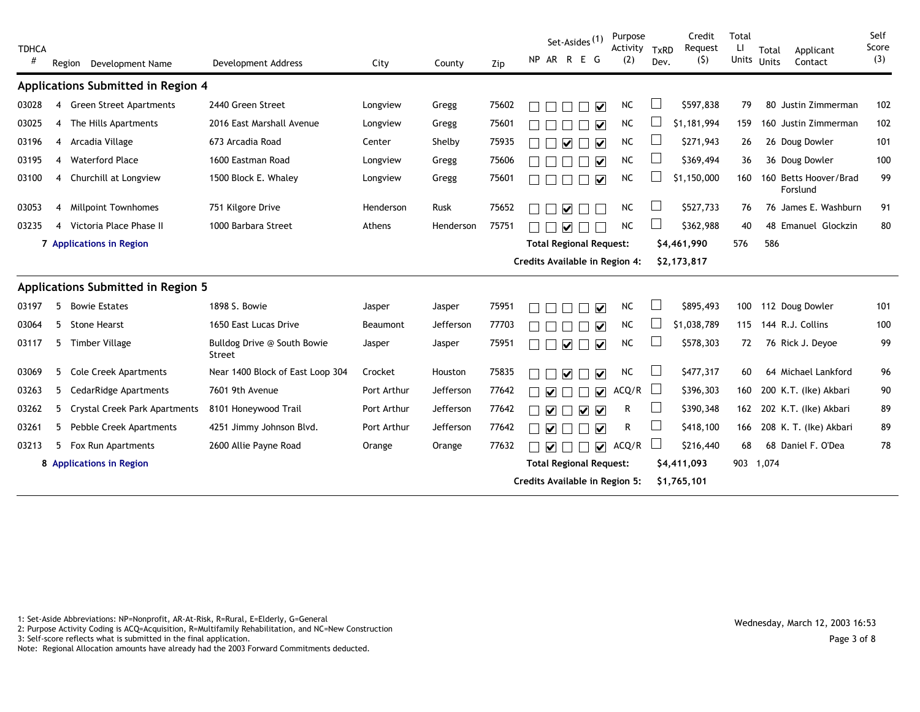| <b>TDHCA</b><br># | Region         | Development Name                     | <b>Development Address</b>            | City            | County    | Zip   |                         |                         | Set-Asides <sup>(1)</sup><br>NP AR R E G        | Purpose<br>Activity TxRD<br>(2)                                  | Dev. | Credit<br>Request<br>(5)   | Total<br>Ц<br>Units | Total<br><b>Units</b> | Applicant<br>Contact              | Self<br>Score<br>(3) |
|-------------------|----------------|--------------------------------------|---------------------------------------|-----------------|-----------|-------|-------------------------|-------------------------|-------------------------------------------------|------------------------------------------------------------------|------|----------------------------|---------------------|-----------------------|-----------------------------------|----------------------|
|                   |                | Applications Submitted in Region 4   |                                       |                 |           |       |                         |                         |                                                 |                                                                  |      |                            |                     |                       |                                   |                      |
| 03028             | 4              | <b>Green Street Apartments</b>       | 2440 Green Street                     | Longview        | Gregg     | 75602 |                         |                         | $\overline{\mathbf{v}}$                         | <b>NC</b>                                                        |      | \$597,838                  | 79                  |                       | 80 Justin Zimmerman               | 102                  |
| 03025             | 4              | The Hills Apartments                 | 2016 East Marshall Avenue             | Longview        | Gregg     | 75601 |                         |                         | ⋈                                               | <b>NC</b>                                                        |      | \$1,181,994                | 159                 |                       | 160 Justin Zimmerman              | 102                  |
| 03196             | 4              | Arcadia Village                      | 673 Arcadia Road                      | Center          | Shelby    | 75935 |                         | $\overline{\mathbf{v}}$ | $\overline{\mathbf{v}}$<br>$\Box$               | <b>NC</b>                                                        |      | \$271,943                  | 26                  |                       | 26 Doug Dowler                    | 101                  |
| 03195             | 4              | <b>Waterford Place</b>               | 1600 Eastman Road                     | Longview        | Gregg     | 75606 |                         |                         | $\overline{\mathbf{v}}$                         | <b>NC</b>                                                        |      | \$369,494                  | 36                  |                       | 36 Doug Dowler                    | 100                  |
| 03100             | 4              | Churchill at Longview                | 1500 Block E. Whaley                  | Longview        | Gregg     | 75601 |                         |                         | $\overline{\mathbf{v}}$                         | <b>NC</b>                                                        |      | \$1,150,000                | 160                 |                       | 160 Betts Hoover/Brad<br>Forslund | 99                   |
| 03053             | $\overline{4}$ | <b>Millpoint Townhomes</b>           | 751 Kilgore Drive                     | Henderson       | Rusk      | 75652 |                         | ☑                       |                                                 | <b>NC</b>                                                        |      | \$527,733                  | 76                  |                       | 76 James E. Washburn              | 91                   |
| 03235             | 4              | Victoria Place Phase II              | 1000 Barbara Street                   | Athens          | Henderson | 75751 |                         | ☑                       |                                                 | <b>NC</b>                                                        |      | \$362,988                  | 40                  |                       | 48 Emanuel Glockzin               | 80                   |
|                   |                | 7 Applications in Region             |                                       |                 |           |       |                         |                         |                                                 | <b>Total Regional Request:</b>                                   |      | \$4,461,990                | 576                 | 586                   |                                   |                      |
|                   |                |                                      |                                       |                 |           |       |                         |                         |                                                 | Credits Available in Region 4:                                   |      | \$2,173,817                |                     |                       |                                   |                      |
|                   |                | Applications Submitted in Region 5   |                                       |                 |           |       |                         |                         |                                                 |                                                                  |      |                            |                     |                       |                                   |                      |
| 03197             | 5              | <b>Bowie Estates</b>                 | 1898 S. Bowie                         | Jasper          | Jasper    | 75951 |                         |                         | $\overline{\mathbf{v}}$                         | <b>NC</b>                                                        |      | \$895,493                  | 100                 |                       | 112 Doug Dowler                   | 101                  |
| 03064             | 5.             | <b>Stone Hearst</b>                  | 1650 East Lucas Drive                 | <b>Beaumont</b> | Jefferson | 77703 |                         |                         | $\overline{\mathbf{v}}$                         | NC                                                               |      | \$1,038,789                | 115                 |                       | 144 R.J. Collins                  | 100                  |
| 03117             | 5              | <b>Timber Village</b>                | Bulldog Drive @ South Bowie<br>Street | Jasper          | Jasper    | 75951 |                         | $\overline{\mathbf{v}}$ | $\overline{\mathbf{v}}$                         | NC                                                               |      | \$578,303                  | 72                  |                       | 76 Rick J. Deyoe                  | 99                   |
| 03069             | 5.             | <b>Cole Creek Apartments</b>         | Near 1400 Block of East Loop 304      | Crocket         | Houston   | 75835 |                         | ⊽                       | $\blacktriangledown$                            | <b>NC</b>                                                        |      | \$477,317                  | 60                  |                       | 64 Michael Lankford               | 96                   |
| 03263             | 5              | <b>CedarRidge Apartments</b>         | 7601 9th Avenue                       | Port Arthur     | Jefferson | 77642 | ☑                       |                         | $\overline{\mathbf{v}}$                         | ACQ/R                                                            |      | \$396,303                  | 160                 |                       | 200 K.T. (Ike) Akbari             | 90                   |
| 03262             | 5.             | <b>Crystal Creek Park Apartments</b> | 8101 Honeywood Trail                  | Port Arthur     | Jefferson | 77642 | ☑                       |                         | $\blacktriangledown$<br>$\overline{\mathbf{v}}$ | R                                                                |      | \$390,348                  | 162                 |                       | 202 K.T. (Ike) Akbari             | 89                   |
| 03261             | 5              | Pebble Creek Apartments              | 4251 Jimmy Johnson Blvd.              | Port Arthur     | Jefferson | 77642 | $\overline{\mathbf{v}}$ |                         | $\overline{\mathbf{v}}$<br>$\blacksquare$       | R                                                                |      | \$418,100                  | 166                 |                       | 208 K. T. (Ike) Akbari            | 89                   |
| 03213             | 5              | Fox Run Apartments                   | 2600 Allie Payne Road                 | Orange          | Orange    | 77632 | $\overline{\mathbf{v}}$ |                         | $\overline{\mathbf{v}}$                         | ACQ/R                                                            |      | \$216,440                  | 68                  |                       | 68 Daniel F. O'Dea                | 78                   |
|                   |                | 8 Applications in Region             |                                       |                 |           |       |                         |                         |                                                 | <b>Total Regional Request:</b><br>Credits Available in Region 5: |      | \$4,411,093<br>\$1,765,101 | 903 1,074           |                       |                                   |                      |

1: Set-Aside Abbreviations: NP=Nonprofit, AR-At-Risk, R=Rural, E=Elderly, G=General<br>2: Purpose Activity Coding is ACQ=Acquisition, R=Multifamily Rehabilitation, and NC=New Construction Wednesday<br>2: Purpose Activity Coding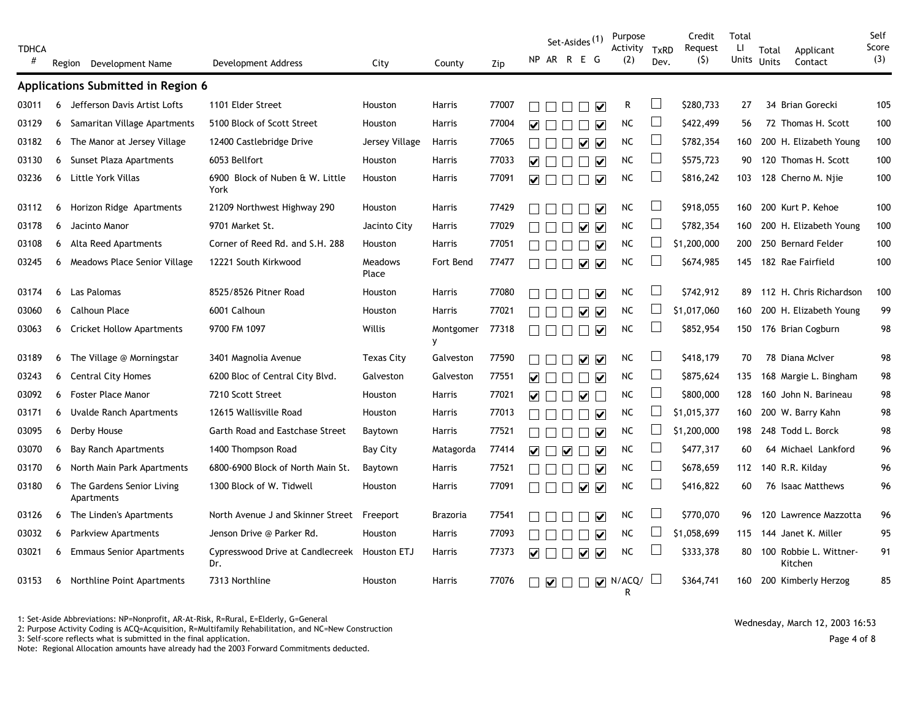| <b>TDHCA</b><br># |   |                                         |                                         |                   |                |       |                      | NP AR R E G          | Set-Asides <sup>(1)</sup> |                                                   | Purpose<br>Activity<br>(2) | <b>TxRD</b><br>Dev.      | Credit<br>Request<br>(5) | Total<br>Ц<br>Units | Total<br><b>Units</b> | Applicant<br>Contact              | Self<br>Score<br>(3) |
|-------------------|---|-----------------------------------------|-----------------------------------------|-------------------|----------------|-------|----------------------|----------------------|---------------------------|---------------------------------------------------|----------------------------|--------------------------|--------------------------|---------------------|-----------------------|-----------------------------------|----------------------|
|                   |   | Region Development Name                 | Development Address                     | City              | County         | Zip   |                      |                      |                           |                                                   |                            |                          |                          |                     |                       |                                   |                      |
|                   |   | Applications Submitted in Region 6      |                                         |                   |                |       |                      |                      |                           |                                                   |                            |                          |                          |                     |                       |                                   |                      |
| 03011             | 6 | Jefferson Davis Artist Lofts            | 1101 Elder Street                       | Houston           | Harris         | 77007 |                      |                      |                           | $\triangledown$                                   | R                          |                          | \$280,733                | 27                  |                       | 34 Brian Gorecki                  | 105                  |
| 03129             | 6 | Samaritan Village Apartments            | 5100 Block of Scott Street              | <b>Houston</b>    | Harris         | 77004 | ⊽⊦                   |                      | П                         | $\overline{\mathbf{v}}$                           | NC                         | ப                        | \$422,499                | 56                  |                       | 72 Thomas H. Scott                | 100                  |
| 03182             | 6 | The Manor at Jersey Village             | 12400 Castlebridge Drive                | Jersey Village    | Harris         | 77065 |                      |                      | $\mathcal{L}$             | 7 2                                               | NC.                        | $\Box$                   | \$782,354                | 160                 |                       | 200 H. Elizabeth Young            | 100                  |
| 03130             | 6 | Sunset Plaza Apartments                 | 6053 Bellfort                           | Houston           | Harris         | 77033 | $\blacktriangledown$ | $\perp$              |                           | $\overline{\phantom{a}}$ $\overline{\phantom{a}}$ | $NC$                       | $\Box$                   | \$575,723                | 90                  |                       | 120 Thomas H. Scott               | 100                  |
| 03236             | 6 | Little York Villas                      | 6900 Block of Nuben & W. Little<br>York | Houston           | Harris         | 77091 | ☑                    | $\Box$               |                           | $\overline{\mathbf{v}}$                           | NC                         | ∟                        | \$816,242                | 103                 |                       | 128 Cherno M. Nije                | 100                  |
| 03112             |   | 6 Horizon Ridge Apartments              | 21209 Northwest Highway 290             | Houston           | Harris         | 77429 |                      |                      |                           | $\blacktriangledown$                              | NC                         |                          | \$918,055                | 160                 |                       | 200 Kurt P. Kehoe                 | 100                  |
| 03178             | 6 | Jacinto Manor                           | 9701 Market St.                         | Jacinto City      | Harris         | 77029 |                      |                      |                           | ☑ ⊽                                               | <b>NC</b>                  | $\overline{\phantom{a}}$ | \$782,354                | 160                 |                       | 200 H. Elizabeth Young            | 100                  |
| 03108             | 6 | Alta Reed Apartments                    | Corner of Reed Rd. and S.H. 288         | Houston           | Harris         | 77051 |                      |                      |                           | $\Box$ $\checkmark$                               | ${\sf NC}$                 |                          | \$1,200,000              | 200                 |                       | 250 Bernard Felder                | 100                  |
| 03245             | 6 | Meadows Place Senior Village            | 12221 South Kirkwood                    | Meadows<br>Place  | Fort Bend      | 77477 |                      |                      |                           | ा ⊽                                               | $NC$                       |                          | \$674,985                | 145                 |                       | 182 Rae Fairfield                 | 100                  |
| 03174             | 6 | Las Palomas                             | 8525/8526 Pitner Road                   | Houston           | Harris         | 77080 |                      |                      |                           | $\overline{\mathbf{v}}$                           | <b>NC</b>                  |                          | \$742,912                | 89                  |                       | 112 H. Chris Richardson           | 100                  |
| 03060             | 6 | Calhoun Place                           | 6001 Calhoun                            | Houston           | Harris         | 77021 |                      |                      |                           | ∨ ∨                                               | NC                         | $\Box$                   | \$1,017,060              | 160                 |                       | 200 H. Elizabeth Young            | 99                   |
| 03063             |   | 6 Cricket Hollow Apartments             | 9700 FM 1097                            | Willis            | Montgomer<br>y | 77318 |                      |                      |                           | $\overline{\mathbf{v}}$                           | ${\sf NC}$                 | $\overline{\phantom{a}}$ | \$852,954                | 150                 |                       | 176 Brian Cogburn                 | 98                   |
| 03189             |   | 6 The Village @ Morningstar             | 3401 Magnolia Avenue                    | <b>Texas City</b> | Galveston      | 77590 |                      |                      |                           | ☑▽                                                | NC                         | $\Box$                   | \$418,179                | 70                  |                       | 78 Diana McIver                   | 98                   |
| 03243             | 6 | <b>Central City Homes</b>               | 6200 Bloc of Central City Blvd.         | Galveston         | Galveston      | 77551 | ☑                    |                      |                           | $\Box$ $\blacktriangledown$                       | $NC$                       | $\Box$                   | \$875,624                | 135                 |                       | 168 Margie L. Bingham             | 98                   |
| 03092             | 6 | <b>Foster Place Manor</b>               | 7210 Scott Street                       | Houston           | Harris         | 77021 | $\blacktriangledown$ | $\perp$              | $\Box$                    | $\overline{\smile}$                               | $NC$                       | ∟                        | \$800,000                | 128                 |                       | 160 John N. Barineau              | 98                   |
| 03171             | 6 | Uvalde Ranch Apartments                 | 12615 Wallisville Road                  | <b>Houston</b>    | Harris         | 77013 |                      |                      |                           | M                                                 | <b>NC</b>                  |                          | \$1,015,377              | 160                 |                       | 200 W. Barry Kahn                 | 98                   |
| 03095             | 6 | Derby House                             | Garth Road and Eastchase Street         | Baytown           | Harris         | 77521 |                      |                      |                           | $\overline{\mathbf{v}}$                           | NC.                        | $\overline{\phantom{a}}$ | \$1,200,000              | 198                 |                       | 248 Todd L. Borck                 | 98                   |
| 03070             | 6 | <b>Bay Ranch Apartments</b>             | 1400 Thompson Road                      | <b>Bay City</b>   | Matagorda      | 77414 | ☑                    |                      | $\overline{\mathbf{v}}$   | $\overline{\mathbf{v}}$                           | NC                         | $\mathbf{I}$             | \$477,317                | 60                  |                       | 64 Michael Lankford               | 96                   |
| 03170             | 6 | North Main Park Apartments              | 6800-6900 Block of North Main St.       | Baytown           | Harris         | 77521 |                      |                      |                           | $\overline{\mathbf{v}}$                           | ${\sf NC}$                 | $\Box$                   | \$678,659                | 112                 |                       | 140 R.R. Kilday                   | 96                   |
| 03180             | 6 | The Gardens Senior Living<br>Apartments | 1300 Block of W. Tidwell                | Houston           | Harris         | 77091 |                      | $\Box$               | ┓                         | ∨ ∨                                               | $NC$                       | L                        | \$416,822                | 60                  |                       | 76 Isaac Matthews                 | 96                   |
| 03126             | 6 | The Linden's Apartments                 | North Avenue J and Skinner Street       | Freeport          | Brazoria       | 77541 |                      |                      |                           | $\overline{\mathbf{v}}$                           | <b>NC</b>                  |                          | \$770,070                | 96                  |                       | 120 Lawrence Mazzotta             | 96                   |
| 03032             | 6 | <b>Parkview Apartments</b>              | Jenson Drive @ Parker Rd.               | Houston           | Harris         | 77093 |                      |                      |                           | ⊻                                                 | ${\sf NC}$                 |                          | \$1,058,699              | 115                 |                       | 144 Janet K. Miller               | 95                   |
| 03021             | 6 | <b>Emmaus Senior Apartments</b>         | Cypresswood Drive at Candlecreek<br>Dr. | Houston ETJ       | Harris         | 77373 | ☑                    |                      |                           | ∨ ∨                                               | NC                         |                          | \$333,378                | 80                  |                       | 100 Robbie L. Wittner-<br>Kitchen | 91                   |
| 03153             | 6 | Northline Point Apartments              | 7313 Northline                          | Houston           | Harris         | 77076 |                      | $\blacktriangledown$ |                           | $\overline{\mathbf{v}}$                           | N/ACQ/<br>R                |                          | \$364,741                | 160                 |                       | 200 Kimberly Herzog               | 85                   |

1: Set-Aside Abbreviations: NP=Nonprofit, AR-At-Risk, R=Rural, E=Elderly, G=General<br>2: Purpose Activity Coding is ACQ=Acquisition, R=Multifamily Rehabilitation, and NC=New Construction Wednesday<br>2: Purpose Activity Coding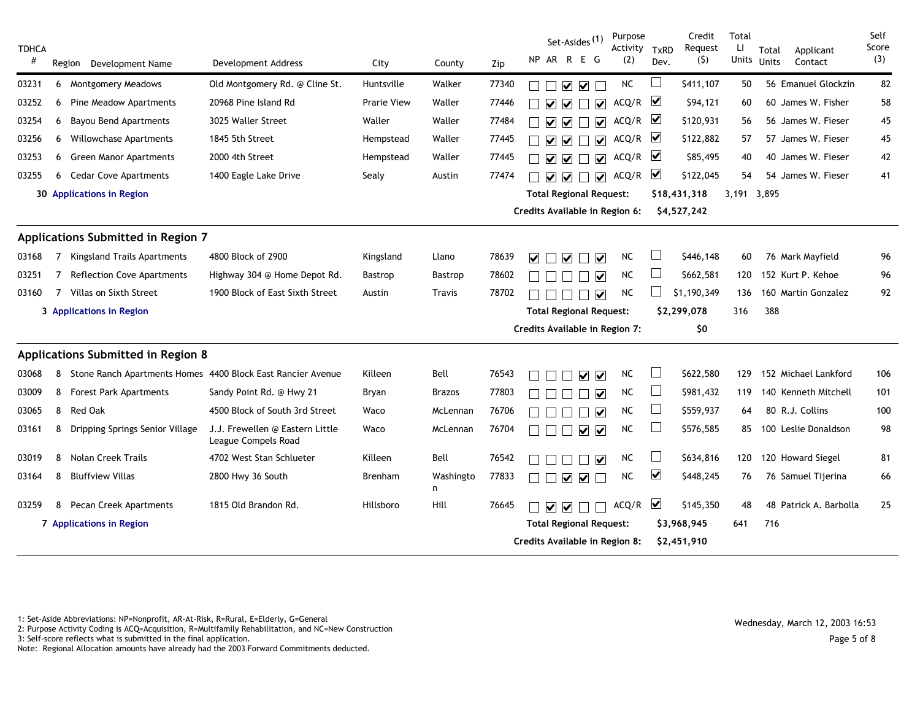| <b>TDHCA</b> |             |                                                               |                                                        |                    |                |       | Set-Asides <sup>(1)</sup>                                                     | Purpose<br>Activity TxRD |                      | Credit<br>Request | Total<br>Ц   | Total<br>Applicant     | Self<br>Score |
|--------------|-------------|---------------------------------------------------------------|--------------------------------------------------------|--------------------|----------------|-------|-------------------------------------------------------------------------------|--------------------------|----------------------|-------------------|--------------|------------------------|---------------|
| #            |             | Region<br>Development Name                                    | Development Address                                    | City               | County         | Zip   | NP AR R E G                                                                   | (2)                      | Dev.                 | (5)               | <b>Units</b> | Units<br>Contact       | (3)           |
| 03231        |             | 6 Montgomery Meadows                                          | Old Montgomery Rd. @ Cline St.                         | Huntsville         | Walker         | 77340 | ☑ ☑                                                                           | <b>NC</b>                |                      | \$411,107         | 50           | 56 Emanuel Glockzin    | 82            |
| 03252        | 6           | Pine Meadow Apartments                                        | 20968 Pine Island Rd                                   | <b>Prarie View</b> | Waller         | 77446 | $\overline{\mathbf{v}}$<br>$\blacktriangledown$<br>M                          | ACQ/R                    | ⊻                    | \$94,121          | 60           | 60 James W. Fisher     | 58            |
| 03254        | 6           | <b>Bayou Bend Apartments</b>                                  | 3025 Waller Street                                     | Waller             | Waller         | 77484 | $\overline{\mathbf{v}}$<br>$\overline{\mathbf{v}}$<br>$\overline{\mathsf{v}}$ | $ACQ/R$ $\Box$           |                      | \$120,931         | 56           | 56 James W. Fieser     | 45            |
| 03256        | 6           | <b>Willowchase Apartments</b>                                 | 1845 5th Street                                        | Hempstead          | Waller         | 77445 | $\overline{\mathbf{v}}$<br>$\overline{\mathbf{v}}$<br>☑                       | $ACQ/R$ $\Box$           |                      | \$122,882         | 57           | 57 James W. Fieser     | 45            |
| 03253        |             | 6 Green Manor Apartments                                      | 2000 4th Street                                        | Hempstead          | Waller         | 77445 | $\overline{\mathbf{v}}$<br>$\overline{\mathbf{v}}$<br>$\blacktriangledown$    | $ACQ/R$ $\Box$           |                      | \$85,495          | 40           | 40 James W. Fieser     | 42            |
| 03255        | 6           | <b>Cedar Cove Apartments</b>                                  | 1400 Eagle Lake Drive                                  | Sealy              | Austin         | 77474 | $\boxed{\mathbf{v}}$<br>$\overline{\mathbf{v}}$                               | ACQ/R                    | ☑                    | \$122,045         | 54           | 54 James W. Fieser     | 41            |
|              |             | 30 Applications in Region                                     |                                                        |                    |                |       | <b>Total Regional Request:</b>                                                |                          |                      | \$18,431,318      | 3,191 3,895  |                        |               |
|              |             |                                                               |                                                        |                    |                |       | Credits Available in Region 6:                                                |                          |                      | \$4,527,242       |              |                        |               |
|              |             | Applications Submitted in Region 7                            |                                                        |                    |                |       |                                                                               |                          |                      |                   |              |                        |               |
| 03168        | 7           | <b>Kingsland Trails Apartments</b>                            | 4800 Block of 2900                                     | Kingsland          | Llano          | 78639 | ☑<br>☑<br>$\blacktriangledown$                                                | <b>NC</b>                |                      | \$446,148         | 60           | 76 Mark Mayfield       | 96            |
| 03251        | $7^{\circ}$ | <b>Reflection Cove Apartments</b>                             | Highway 304 @ Home Depot Rd.                           | <b>Bastrop</b>     | Bastrop        | 78602 | ☑                                                                             | <b>NC</b>                |                      | \$662,581         | 120          | 152 Kurt P. Kehoe      | 96            |
| 03160        | 7           | Villas on Sixth Street                                        | 1900 Block of East Sixth Street                        | Austin             | Travis         | 78702 | ☑                                                                             | <b>NC</b>                |                      | \$1,190,349       | 136          | 160 Martin Gonzalez    | 92            |
|              |             | 3 Applications in Region                                      |                                                        |                    |                |       | <b>Total Regional Request:</b>                                                |                          |                      | \$2,299,078       | 316          | 388                    |               |
|              |             |                                                               |                                                        |                    |                |       | Credits Available in Region 7:                                                |                          |                      | \$0               |              |                        |               |
|              |             | Applications Submitted in Region 8                            |                                                        |                    |                |       |                                                                               |                          |                      |                   |              |                        |               |
| 03068        |             | 8 Stone Ranch Apartments Homes 4400 Block East Rancier Avenue |                                                        | Killeen            | Bell           | 76543 | $\overline{\mathbf{v}}$<br>$\blacktriangledown$                               | NC                       | $\Box$               | \$622,580         | 129          | 152 Michael Lankford   | 106           |
| 03009        |             | 8 Forest Park Apartments                                      | Sandy Point Rd. @ Hwy 21                               | Bryan              | Brazos         | 77803 | ☑                                                                             | <b>NC</b>                | $\Box$               | \$981,432         | 119          | 140 Kenneth Mitchell   | 101           |
| 03065        | 8           | <b>Red Oak</b>                                                | 4500 Block of South 3rd Street                         | Waco               | McLennan       | 76706 | V                                                                             | <b>NC</b>                | $\Box$               | \$559,937         | 64           | 80 R.J. Collins        | 100           |
| 03161        | 8           | Dripping Springs Senior Village                               | J.J. Frewellen @ Eastern Little<br>League Compels Road | Waco               | McLennan       | 76704 | ⅤⅤ                                                                            | <b>NC</b>                | ப                    | \$576,585         | 85           | 100 Leslie Donaldson   | 98            |
| 03019        | 8           | Nolan Creek Trails                                            | 4702 West Stan Schlueter                               | Killeen            | Bell           | 76542 | $\overline{\mathbf{v}}$                                                       | <b>NC</b>                | $\sqcup$             | \$634,816         | 120          | 120 Howard Siegel      | 81            |
| 03164        | 8           | <b>Bluffview Villas</b>                                       | 2800 Hwy 36 South                                      | Brenham            | Washingto<br>n | 77833 | $\overline{\mathbf{v}}$<br>$\blacktriangledown$                               | <b>NC</b>                | $\blacktriangledown$ | \$448,245         | 76           | 76 Samuel Tijerina     | 66            |
| 03259        | 8           | <b>Pecan Creek Apartments</b>                                 | 1815 Old Brandon Rd.                                   | Hillsboro          | Hill           | 76645 | ⅤⅤ□                                                                           | ACQ/R                    | $\blacktriangledown$ | \$145,350         | 48           | 48 Patrick A. Barbolla | 25            |
|              |             | 7 Applications in Region                                      |                                                        |                    |                |       | <b>Total Regional Request:</b>                                                |                          |                      | \$3,968,945       | 641          | 716                    |               |
|              |             |                                                               |                                                        |                    |                |       | Credits Available in Region 8:                                                |                          |                      | \$2,451,910       |              |                        |               |

1: Set-Aside Abbreviations: NP=Nonprofit, AR-At-Risk, R=Rural, E=Elderly, G=General

2: Det-Aside Abbieviations: NF-Nonprofit, AN-At-Nisk, N-Rufat, L-Liderty, O-Oenerat<br>2: Purpose Activity Coding is ACQ=Acquisition, R=Multifamily Rehabilitation, and NC=New Construction Wednesday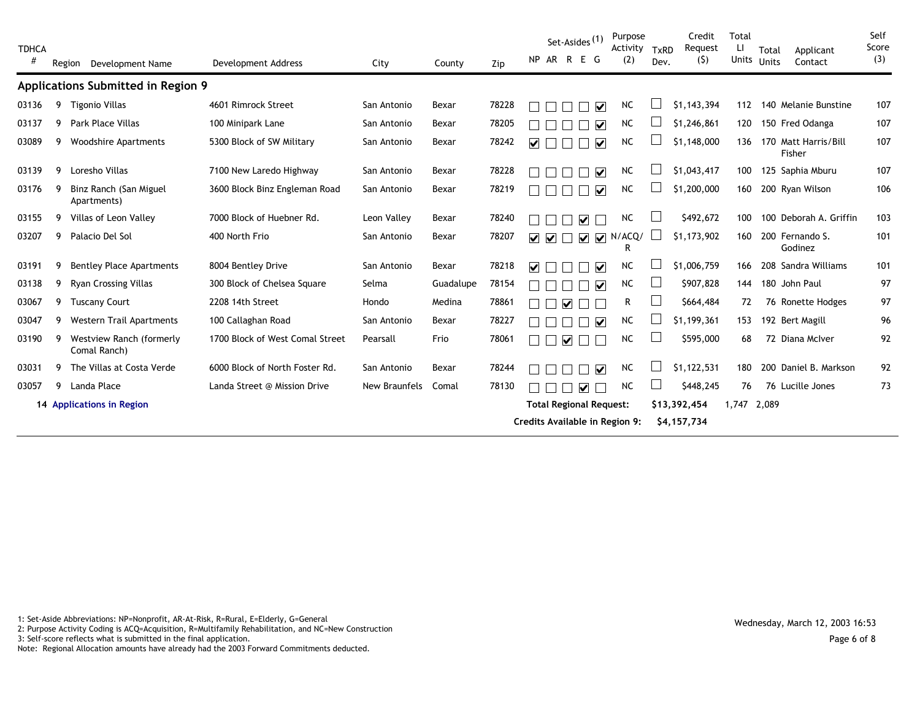| <b>TDHCA</b><br># |   | Region<br>Development Name               | <b>Development Address</b>      | City          | County    | Zip   | Set-Asides <sup>(1)</sup><br>NP AR R<br>E G                                                              | Purpose<br>Activity<br>(2) | TxRD<br>Dev. | Credit<br>Request<br>(5)    | <b>Total</b><br>LI<br>Units | Total<br>Units | Applicant<br>Contact           | Self<br>Score<br>(3) |
|-------------------|---|------------------------------------------|---------------------------------|---------------|-----------|-------|----------------------------------------------------------------------------------------------------------|----------------------------|--------------|-----------------------------|-----------------------------|----------------|--------------------------------|----------------------|
|                   |   | Applications Submitted in Region 9       |                                 |               |           |       |                                                                                                          |                            |              |                             |                             |                |                                |                      |
| 03136             | 9 | <b>Tigonio Villas</b>                    | 4601 Rimrock Street             | San Antonio   | Bexar     | 78228 | $\overline{\mathbf{v}}$                                                                                  | <b>NC</b>                  |              | \$1,143,394                 | 112                         |                | 140 Melanie Bunstine           | 107                  |
| 03137             | 9 | <b>Park Place Villas</b>                 | 100 Minipark Lane               | San Antonio   | Bexar     | 78205 | $\overline{\mathbf{v}}$                                                                                  | NC                         |              | \$1,246,861                 | 120                         |                | 150 Fred Odanga                | 107                  |
| 03089             | 9 | <b>Woodshire Apartments</b>              | 5300 Block of SW Military       | San Antonio   | Bexar     | 78242 | $\overline{\mathbf{v}}$<br>$\overline{\mathbf{v}}$                                                       | NC                         |              | \$1,148,000                 | 136                         |                | 170 Matt Harris/Bill<br>Fisher | 107                  |
| 03139             | 9 | Loresho Villas                           | 7100 New Laredo Highway         | San Antonio   | Bexar     | 78228 | $\overline{\mathbf{v}}$                                                                                  | <b>NC</b>                  |              | \$1,043,417                 | 100                         |                | 125 Saphia Mburu               | 107                  |
| 03176             |   | Binz Ranch (San Miguel<br>Apartments)    | 3600 Block Binz Engleman Road   | San Antonio   | Bexar     | 78219 | ☑                                                                                                        | <b>NC</b>                  |              | \$1,200,000                 | 160                         |                | 200 Ryan Wilson                | 106                  |
| 03155             | 9 | Villas of Leon Valley                    | 7000 Block of Huebner Rd.       | Leon Valley   | Bexar     | 78240 | $\overline{\mathbf{v}}$                                                                                  | NC                         |              | \$492,672                   | 100                         |                | 100 Deborah A. Griffin         | 103                  |
| 03207             | 9 | Palacio Del Sol                          | 400 North Frio                  | San Antonio   | Bexar     | 78207 | $\overline{\mathbf{v}}$<br>$\overline{\mathbf{v}}$<br>$\overline{\mathbf{v}}$<br>$\overline{\mathbf{v}}$ | ACQ/<br>R.                 |              | \$1,173,902                 | 160                         |                | 200 Fernando S.<br>Godinez     | 101                  |
| 03191             | 9 | <b>Bentley Place Apartments</b>          | 8004 Bentley Drive              | San Antonio   | Bexar     | 78218 | $\overline{\mathsf{v}}$<br>☑                                                                             | NC                         |              | \$1,006,759                 | 166                         |                | 208 Sandra Williams            | 101                  |
| 03138             | 9 | <b>Ryan Crossing Villas</b>              | 300 Block of Chelsea Square     | Selma         | Guadalupe | 78154 | ☑                                                                                                        | <b>NC</b>                  | $\Box$       | \$907,828                   | 144                         |                | 180 John Paul                  | 97                   |
| 03067             | 9 | <b>Tuscany Court</b>                     | 2208 14th Street                | Hondo         | Medina    | 78861 | M                                                                                                        | R.                         |              | \$664,484                   | 72                          |                | 76 Ronette Hodges              | 97                   |
| 03047             | 9 | <b>Western Trail Apartments</b>          | 100 Callaghan Road              | San Antonio   | Bexar     | 78227 | $\overline{\mathbf{v}}$                                                                                  | <b>NC</b>                  |              | \$1,199,361                 | 153                         |                | 192 Bert Magill                | 96                   |
| 03190             | 9 | Westview Ranch (formerly<br>Comal Ranch) | 1700 Block of West Comal Street | Pearsall      | Frio      | 78061 | $\overline{\mathbf{v}}$                                                                                  | <b>NC</b>                  |              | \$595,000                   | 68                          |                | 72 Diana McIver                | 92                   |
| 03031             | 9 | The Villas at Costa Verde                | 6000 Block of North Foster Rd.  | San Antonio   | Bexar     | 78244 | $\overline{\mathsf{v}}$                                                                                  | <b>NC</b>                  |              | \$1,122,531                 | 180                         |                | 200 Daniel B. Markson          | 92                   |
| 03057             | 9 | Landa Place                              | Landa Street @ Mission Drive    | New Braunfels | Comal     | 78130 | ☑                                                                                                        | <b>NC</b>                  |              | \$448,245                   | 76                          |                | 76 Lucille Jones               | 73                   |
|                   |   | 14 Applications in Region                |                                 |               |           |       | <b>Total Regional Request:</b><br>Credits Available in Region 9:                                         |                            |              | \$13,392,454<br>\$4,157,734 | 1,747 2,089                 |                |                                |                      |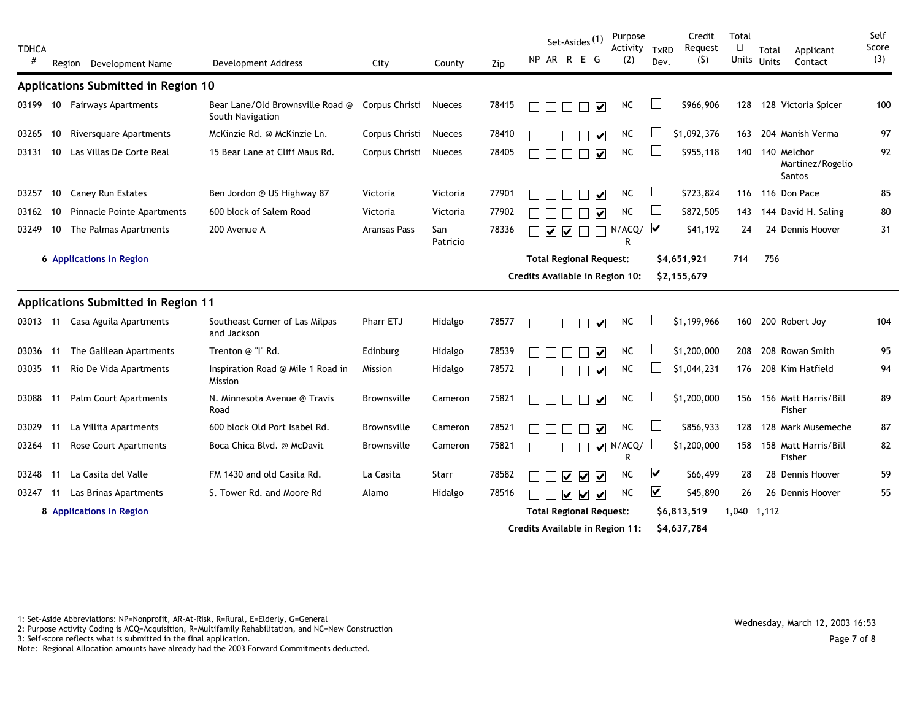| <b>TDHCA</b><br># |     | Region<br>Development Name          | <b>Development Address</b>                           | City               | County          | Zip   | Set-Asides <sup>(1)</sup><br>NP AR R E G        |                                                    | Purpose<br>Activity TxRD<br>(2) | Dev.                    | Credit<br>Request<br>(5) | Total<br>Ш<br><b>Units</b> | Total<br><b>Units</b> | Applicant<br>Contact                             | Self<br>Score<br>(3) |
|-------------------|-----|-------------------------------------|------------------------------------------------------|--------------------|-----------------|-------|-------------------------------------------------|----------------------------------------------------|---------------------------------|-------------------------|--------------------------|----------------------------|-----------------------|--------------------------------------------------|----------------------|
|                   |     | Applications Submitted in Region 10 |                                                      |                    |                 |       |                                                 |                                                    |                                 |                         |                          |                            |                       |                                                  |                      |
| 03199             |     | 10 Fairways Apartments              | Bear Lane/Old Brownsville Road @<br>South Navigation | Corpus Christi     | <b>Nueces</b>   | 78415 |                                                 | $\overline{\mathbf{v}}$                            | <b>NC</b>                       |                         | \$966,906                | 128                        |                       | 128 Victoria Spicer                              | 100                  |
| 03265             | 10  | <b>Riversquare Apartments</b>       | McKinzie Rd. @ McKinzie Ln.                          | Corpus Christi     | Nueces          | 78410 |                                                 | V                                                  | NC                              |                         | \$1,092,376              | 163                        |                       | 204 Manish Verma                                 | 97                   |
| 03131             | 10  | Las Villas De Corte Real            | 15 Bear Lane at Cliff Maus Rd.                       | Corpus Christi     | <b>Nueces</b>   | 78405 |                                                 | $\overline{\mathbf{v}}$                            | <b>NC</b>                       |                         | \$955,118                | 140                        |                       | 140 Melchor<br>Martinez/Rogelio<br><b>Santos</b> | 92                   |
| 03257             | 10  | <b>Caney Run Estates</b>            | Ben Jordon @ US Highway 87                           | Victoria           | Victoria        | 77901 |                                                 | $\overline{\mathbf{v}}$                            | <b>NC</b>                       |                         | \$723,824                |                            |                       | 116 116 Don Pace                                 | 85                   |
| 03162             | 10  | Pinnacle Pointe Apartments          | 600 block of Salem Road                              | Victoria           | Victoria        | 77902 |                                                 | $\blacktriangledown$                               | <b>NC</b>                       | ப                       | \$872,505                | 143                        |                       | 144 David H. Saling                              | 80                   |
| 03249             | 10  | The Palmas Apartments               | 200 Avenue A                                         | Aransas Pass       | San<br>Patricio | 78336 | $\overline{\mathsf{v}}$<br>$\blacktriangledown$ |                                                    | N/ACQ/<br>R                     | $\overline{\mathbf{v}}$ | \$41,192                 | 24                         |                       | 24 Dennis Hoover                                 | 31                   |
|                   |     | 6 Applications in Region            |                                                      |                    |                 |       |                                                 | <b>Total Regional Request:</b>                     |                                 |                         | \$4,651,921              | 714                        | 756                   |                                                  |                      |
|                   |     |                                     |                                                      |                    |                 |       |                                                 |                                                    | Credits Available in Region 10: |                         | \$2,155,679              |                            |                       |                                                  |                      |
|                   |     | Applications Submitted in Region 11 |                                                      |                    |                 |       |                                                 |                                                    |                                 |                         |                          |                            |                       |                                                  |                      |
|                   |     | 03013 11 Casa Aguila Apartments     | Southeast Corner of Las Milpas<br>and Jackson        | Pharr ETJ          | Hidalgo         | 78577 |                                                 | ☑                                                  | <b>NC</b>                       |                         | \$1,199,966              |                            |                       | 160 200 Robert Joy                               | 104                  |
| 03036 11          |     | The Galilean Apartments             | Trenton @ "I" Rd.                                    | Edinburg           | Hidalgo         | 78539 |                                                 | $\overline{\mathbf{v}}$                            | NC                              |                         | \$1,200,000              | 208                        |                       | 208 Rowan Smith                                  | 95                   |
| 03035             | -11 | Rio De Vida Apartments              | Inspiration Road @ Mile 1 Road in<br>Mission         | Mission            | Hidalgo         | 78572 |                                                 | $\overline{\mathbf{v}}$                            | <b>NC</b>                       |                         | \$1,044,231              | 176                        |                       | 208 Kim Hatfield                                 | 94                   |
| 03088             | 11  | Palm Court Apartments               | N. Minnesota Avenue @ Travis<br>Road                 | Brownsville        | Cameron         | 75821 |                                                 | $\overline{\mathbf{v}}$                            | <b>NC</b>                       |                         | \$1,200,000              | 156                        |                       | 156 Matt Harris/Bill<br>Fisher                   | 89                   |
| 03029             | 11  | La Villita Apartments               | 600 block Old Port Isabel Rd.                        | Brownsville        | Cameron         | 78521 |                                                 | ☑                                                  | <b>NC</b>                       |                         | \$856,933                | 128                        |                       | 128 Mark Musemeche                               | 87                   |
| 03264             | 11  | <b>Rose Court Apartments</b>        | Boca Chica Blvd. @ McDavit                           | <b>Brownsville</b> | Cameron         | 75821 |                                                 | $\blacktriangledown$                               | N/ACQ/<br>R                     |                         | \$1,200,000              |                            |                       | 158 158 Matt Harris/Bill<br>Fisher               | 82                   |
| 03248             | 11  | La Casita del Valle                 | FM 1430 and old Casita Rd.                           | La Casita          | Starr           | 78582 | $\overline{\blacktriangledown}$                 | $\overline{\mathbf{v}}$<br>$\overline{\mathbf{v}}$ | <b>NC</b>                       | ☑                       | \$66,499                 | 28                         |                       | 28 Dennis Hoover                                 | 59                   |
| 03247             | 11  | Las Brinas Apartments               | S. Tower Rd. and Moore Rd                            | Alamo              | Hidalgo         | 78516 | $\triangledown$ $\triangledown$                 | $\overline{\mathbf{v}}$                            | <b>NC</b>                       | $\blacktriangledown$    | \$45,890                 | 26                         |                       | 26 Dennis Hoover                                 | 55                   |
|                   |     | 8 Applications in Region            |                                                      |                    |                 |       |                                                 | <b>Total Regional Request:</b>                     |                                 |                         | \$6,813,519              | 1,040 1,112                |                       |                                                  |                      |
|                   |     |                                     |                                                      |                    |                 |       |                                                 |                                                    | Credits Available in Region 11: |                         | \$4,637,784              |                            |                       |                                                  |                      |

1: Set-Aside Abbreviations: NP=Nonprofit, AR-At-Risk, R=Rural, E=Elderly, G=General

2: Det-Aside Abbieviations: NF-Nonprofit, AN-At-Nisk, N-Rufat, L-Liderty, O-Oenerat<br>2: Purpose Activity Coding is ACQ=Acquisition, R=Multifamily Rehabilitation, and NC=New Construction Wednesday